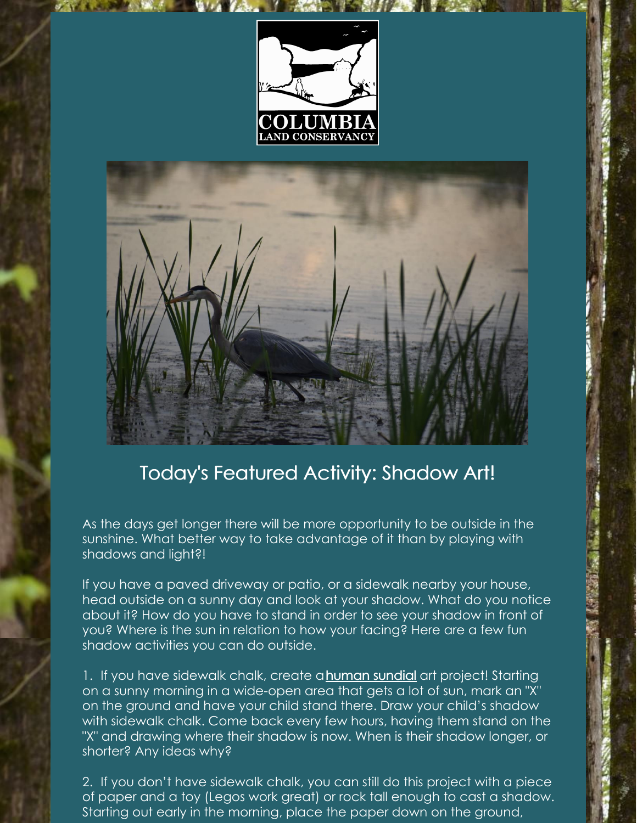



## Today's Featured Activity: Shadow Art!

As the days get longer there will be more opportunity to be outside in the sunshine. What better way to take advantage of it than by playing with shadows and light?!

If you have a paved driveway or patio, or a sidewalk nearby your house, head outside on a sunny day and look at your shadow. What do you notice about it? How do you have to stand in order to see your shadow in front of you? Where is the sun in relation to how your facing? Here are a few fun shadow activities you can do outside.

1. If you have sidewalk chalk, create a **[human](https://simpleplayideas.com/shadow-science) sundial** art project! Starting on a sunny morning in a wide-open area that gets a lot of sun, mark an "X" on the ground and have your child stand there. Draw your child's shadow with sidewalk chalk. Come back every few hours, having them stand on the "X" and drawing where their shadow is now. When is their shadow longer, or shorter? Any ideas why?

2. If you don't have sidewalk chalk, you can still do this project with a piece of paper and a toy (Legos work great) or rock tall enough to cast a shadow. Starting out early in the morning, place the paper down on the ground,